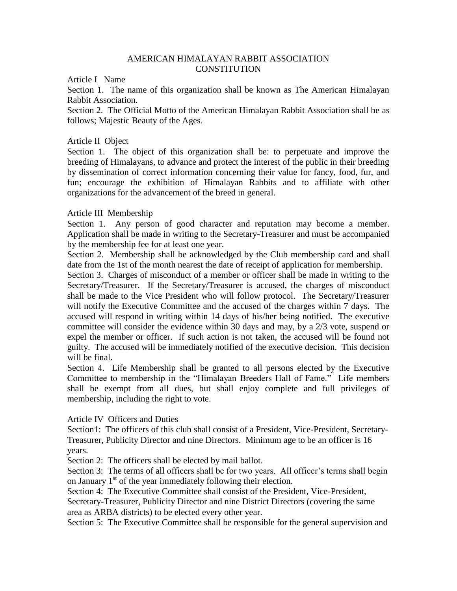### AMERICAN HIMALAYAN RABBIT ASSOCIATION **CONSTITUTION**

Article I Name

Section 1. The name of this organization shall be known as The American Himalayan Rabbit Association.

Section 2. The Official Motto of the American Himalayan Rabbit Association shall be as follows; Majestic Beauty of the Ages.

### Article II Object

Section 1. The object of this organization shall be: to perpetuate and improve the breeding of Himalayans, to advance and protect the interest of the public in their breeding by dissemination of correct information concerning their value for fancy, food, fur, and fun; encourage the exhibition of Himalayan Rabbits and to affiliate with other organizations for the advancement of the breed in general.

# Article III Membership

Section 1. Any person of good character and reputation may become a member. Application shall be made in writing to the Secretary-Treasurer and must be accompanied by the membership fee for at least one year.

Section 2. Membership shall be acknowledged by the Club membership card and shall date from the 1st of the month nearest the date of receipt of application for membership.

Section 3. Charges of misconduct of a member or officer shall be made in writing to the Secretary/Treasurer. If the Secretary/Treasurer is accused, the charges of misconduct shall be made to the Vice President who will follow protocol. The Secretary/Treasurer will notify the Executive Committee and the accused of the charges within 7 days. The accused will respond in writing within 14 days of his/her being notified. The executive committee will consider the evidence within 30 days and may, by a 2/3 vote, suspend or expel the member or officer. If such action is not taken, the accused will be found not guilty. The accused will be immediately notified of the executive decision. This decision will be final.

Section 4. Life Membership shall be granted to all persons elected by the Executive Committee to membership in the "Himalayan Breeders Hall of Fame." Life members shall be exempt from all dues, but shall enjoy complete and full privileges of membership, including the right to vote.

Article IV Officers and Duties

Section1: The officers of this club shall consist of a President, Vice-President, Secretary-Treasurer, Publicity Director and nine Directors. Minimum age to be an officer is 16 years.

Section 2: The officers shall be elected by mail ballot.

Section 3: The terms of all officers shall be for two years. All officer's terms shall begin on January  $1<sup>st</sup>$  of the year immediately following their election.

Section 4: The Executive Committee shall consist of the President, Vice-President, Secretary-Treasurer, Publicity Director and nine District Directors (covering the same

area as ARBA districts) to be elected every other year.

Section 5: The Executive Committee shall be responsible for the general supervision and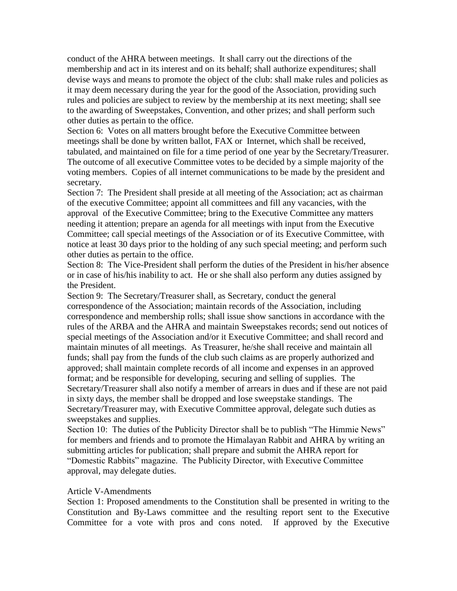conduct of the AHRA between meetings. It shall carry out the directions of the membership and act in its interest and on its behalf; shall authorize expenditures; shall devise ways and means to promote the object of the club: shall make rules and policies as it may deem necessary during the year for the good of the Association, providing such rules and policies are subject to review by the membership at its next meeting; shall see to the awarding of Sweepstakes, Convention, and other prizes; and shall perform such other duties as pertain to the office.

Section 6: Votes on all matters brought before the Executive Committee between meetings shall be done by written ballot, FAX or Internet, which shall be received, tabulated, and maintained on file for a time period of one year by the Secretary/Treasurer. The outcome of all executive Committee votes to be decided by a simple majority of the voting members. Copies of all internet communications to be made by the president and secretary.

Section 7: The President shall preside at all meeting of the Association; act as chairman of the executive Committee; appoint all committees and fill any vacancies, with the approval of the Executive Committee; bring to the Executive Committee any matters needing it attention; prepare an agenda for all meetings with input from the Executive Committee; call special meetings of the Association or of its Executive Committee, with notice at least 30 days prior to the holding of any such special meeting; and perform such other duties as pertain to the office.

Section 8: The Vice-President shall perform the duties of the President in his/her absence or in case of his/his inability to act. He or she shall also perform any duties assigned by the President.

Section 9: The Secretary/Treasurer shall, as Secretary, conduct the general correspondence of the Association; maintain records of the Association, including correspondence and membership rolls; shall issue show sanctions in accordance with the rules of the ARBA and the AHRA and maintain Sweepstakes records; send out notices of special meetings of the Association and/or it Executive Committee; and shall record and maintain minutes of all meetings. As Treasurer, he/she shall receive and maintain all funds; shall pay from the funds of the club such claims as are properly authorized and approved; shall maintain complete records of all income and expenses in an approved format; and be responsible for developing, securing and selling of supplies. The Secretary/Treasurer shall also notify a member of arrears in dues and if these are not paid in sixty days, the member shall be dropped and lose sweepstake standings. The Secretary/Treasurer may, with Executive Committee approval, delegate such duties as sweepstakes and supplies.

Section 10: The duties of the Publicity Director shall be to publish "The Himmie News" for members and friends and to promote the Himalayan Rabbit and AHRA by writing an submitting articles for publication; shall prepare and submit the AHRA report for "Domestic Rabbits" magazine. The Publicity Director, with Executive Committee approval, may delegate duties.

#### Article V-Amendments

Section 1: Proposed amendments to the Constitution shall be presented in writing to the Constitution and By-Laws committee and the resulting report sent to the Executive Committee for a vote with pros and cons noted. If approved by the Executive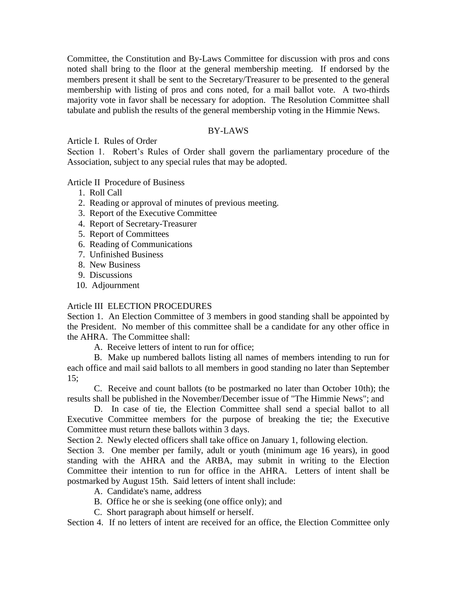Committee, the Constitution and By-Laws Committee for discussion with pros and cons noted shall bring to the floor at the general membership meeting. If endorsed by the members present it shall be sent to the Secretary/Treasurer to be presented to the general membership with listing of pros and cons noted, for a mail ballot vote. A two-thirds majority vote in favor shall be necessary for adoption. The Resolution Committee shall tabulate and publish the results of the general membership voting in the Himmie News.

### BY-LAWS

Article I. Rules of Order

Section 1. Robert's Rules of Order shall govern the parliamentary procedure of the Association, subject to any special rules that may be adopted.

Article II Procedure of Business

- 1. Roll Call
- 2. Reading or approval of minutes of previous meeting.
- 3. Report of the Executive Committee
- 4. Report of Secretary-Treasurer
- 5. Report of Committees
- 6. Reading of Communications
- 7. Unfinished Business
- 8. New Business
- 9. Discussions
- 10. Adjournment

# Article III ELECTION PROCEDURES

Section 1. An Election Committee of 3 members in good standing shall be appointed by the President. No member of this committee shall be a candidate for any other office in the AHRA. The Committee shall:

A. Receive letters of intent to run for office;

B. Make up numbered ballots listing all names of members intending to run for each office and mail said ballots to all members in good standing no later than September 15;

C. Receive and count ballots (to be postmarked no later than October 10th); the results shall be published in the November/December issue of "The Himmie News"; and

D. In case of tie, the Election Committee shall send a special ballot to all Executive Committee members for the purpose of breaking the tie; the Executive Committee must return these ballots within 3 days.

Section 2. Newly elected officers shall take office on January 1, following election.

Section 3. One member per family, adult or youth (minimum age 16 years), in good standing with the AHRA and the ARBA, may submit in writing to the Election Committee their intention to run for office in the AHRA. Letters of intent shall be postmarked by August 15th. Said letters of intent shall include:

- A. Candidate's name, address
- B. Office he or she is seeking (one office only); and
- C. Short paragraph about himself or herself.

Section 4. If no letters of intent are received for an office, the Election Committee only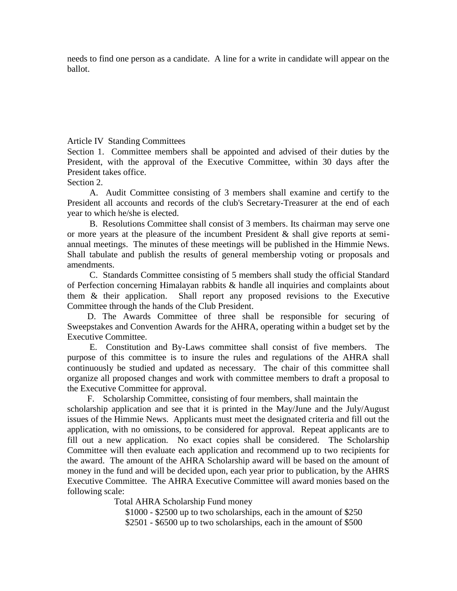needs to find one person as a candidate. A line for a write in candidate will appear on the ballot.

Article IV Standing Committees

Section 1. Committee members shall be appointed and advised of their duties by the President, with the approval of the Executive Committee, within 30 days after the President takes office.

Section 2.

 A. Audit Committee consisting of 3 members shall examine and certify to the President all accounts and records of the club's Secretary-Treasurer at the end of each year to which he/she is elected.

 B. Resolutions Committee shall consist of 3 members. Its chairman may serve one or more years at the pleasure of the incumbent President & shall give reports at semiannual meetings. The minutes of these meetings will be published in the Himmie News. Shall tabulate and publish the results of general membership voting or proposals and amendments.

 C. Standards Committee consisting of 5 members shall study the official Standard of Perfection concerning Himalayan rabbits & handle all inquiries and complaints about them & their application. Shall report any proposed revisions to the Executive Committee through the hands of the Club President.

 D. The Awards Committee of three shall be responsible for securing of Sweepstakes and Convention Awards for the AHRA, operating within a budget set by the Executive Committee.

 E. Constitution and By-Laws committee shall consist of five members. The purpose of this committee is to insure the rules and regulations of the AHRA shall continuously be studied and updated as necessary. The chair of this committee shall organize all proposed changes and work with committee members to draft a proposal to the Executive Committee for approval.

F. Scholarship Committee, consisting of four members, shall maintain the scholarship application and see that it is printed in the May/June and the July/August issues of the Himmie News. Applicants must meet the designated criteria and fill out the application, with no omissions, to be considered for approval. Repeat applicants are to fill out a new application. No exact copies shall be considered. The Scholarship Committee will then evaluate each application and recommend up to two recipients for the award. The amount of the AHRA Scholarship award will be based on the amount of money in the fund and will be decided upon, each year prior to publication, by the AHRS Executive Committee. The AHRA Executive Committee will award monies based on the following scale:

Total AHRA Scholarship Fund money

\$1000 - \$2500 up to two scholarships, each in the amount of \$250

\$2501 - \$6500 up to two scholarships, each in the amount of \$500